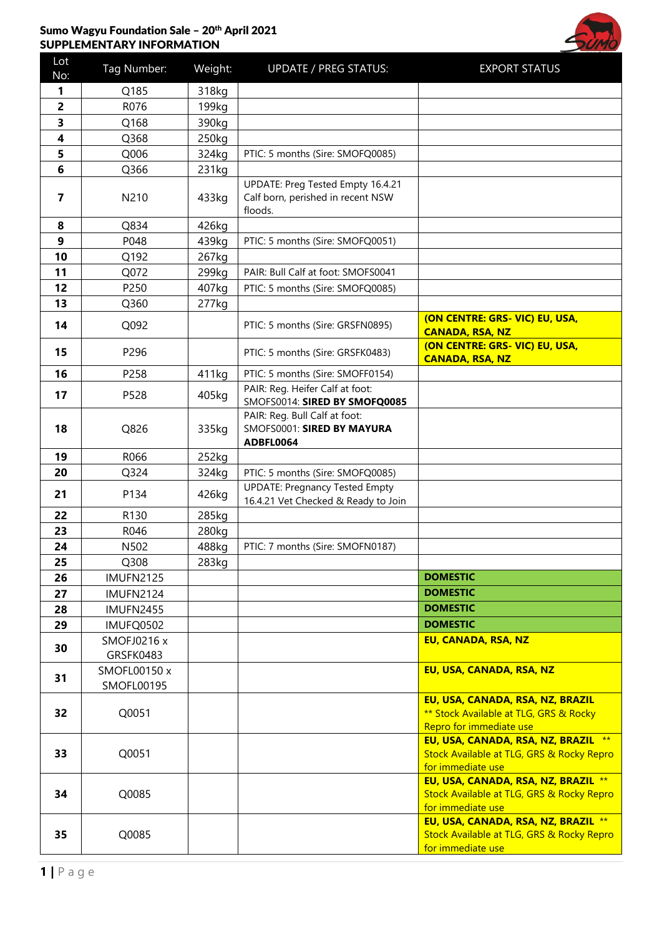## Sumo Wagyu Foundation Sale - 20th April 2021 SUPPLEMENTARY INFORMATION



| Lot<br>No:     | Tag Number:        | Weight: | <b>UPDATE / PREG STATUS:</b>                                              | <b>EXPORT STATUS</b>                                           |
|----------------|--------------------|---------|---------------------------------------------------------------------------|----------------------------------------------------------------|
| 1.             | Q185               | 318kg   |                                                                           |                                                                |
| $\overline{2}$ | R076               | 199kg   |                                                                           |                                                                |
| 3              | Q168               | 390kg   |                                                                           |                                                                |
| 4              | Q368               | 250kg   |                                                                           |                                                                |
| 5              | Q006               | 324kg   | PTIC: 5 months (Sire: SMOFQ0085)                                          |                                                                |
| 6              | Q366               | 231kg   |                                                                           |                                                                |
|                |                    |         | UPDATE: Preg Tested Empty 16.4.21                                         |                                                                |
| 7              | N210               | 433kg   | Calf born, perished in recent NSW                                         |                                                                |
|                |                    |         | floods.                                                                   |                                                                |
| 8              | Q834               | 426kg   |                                                                           |                                                                |
| 9              | P048               | 439kg   | PTIC: 5 months (Sire: SMOFQ0051)                                          |                                                                |
| 10             | Q192               | 267kg   |                                                                           |                                                                |
| 11             | Q072               | 299kg   | PAIR: Bull Calf at foot: SMOFS0041                                        |                                                                |
| 12             | P250               | 407kg   | PTIC: 5 months (Sire: SMOFQ0085)                                          |                                                                |
| 13             | Q360               | 277kg   |                                                                           |                                                                |
| 14             | Q092               |         | PTIC: 5 months (Sire: GRSFN0895)                                          | (ON CENTRE: GRS- VIC) EU, USA,                                 |
|                |                    |         |                                                                           | <b>CANADA, RSA, NZ</b>                                         |
| 15             | P296               |         | PTIC: 5 months (Sire: GRSFK0483)                                          | (ON CENTRE: GRS- VIC) EU, USA,<br><b>CANADA, RSA, NZ</b>       |
| 16             | P258               | 411kg   | PTIC: 5 months (Sire: SMOFF0154)                                          |                                                                |
|                |                    |         | PAIR: Reg. Heifer Calf at foot:                                           |                                                                |
| 17             | P528               | 405kg   | SMOFS0014: SIRED BY SMOFQ0085                                             |                                                                |
|                |                    |         | PAIR: Reg. Bull Calf at foot:                                             |                                                                |
| 18             | Q826               | 335kg   | SMOFS0001: SIRED BY MAYURA                                                |                                                                |
|                |                    |         | ADBFL0064                                                                 |                                                                |
| 19             | R066               | 252kg   |                                                                           |                                                                |
| 20             | Q324               | 324kg   | PTIC: 5 months (Sire: SMOFQ0085)<br><b>UPDATE: Pregnancy Tested Empty</b> |                                                                |
| 21             | P134               | 426kg   | 16.4.21 Vet Checked & Ready to Join                                       |                                                                |
| 22             | R130               | 285kg   |                                                                           |                                                                |
| 23             | R046               | 280kg   |                                                                           |                                                                |
| 24             | N502               | 488kg   | PTIC: 7 months (Sire: SMOFN0187)                                          |                                                                |
| 25             | Q308               | 283kg   |                                                                           |                                                                |
| 26             | <b>IMUFN2125</b>   |         |                                                                           | <b>DOMESTIC</b>                                                |
| 27             | <b>IMUFN2124</b>   |         |                                                                           | <b>DOMESTIC</b>                                                |
| 28             | <b>IMUFN2455</b>   |         |                                                                           | <b>DOMESTIC</b>                                                |
| 29             | IMUFQ0502          |         |                                                                           | <b>DOMESTIC</b>                                                |
|                | <b>SMOFJ0216 x</b> |         |                                                                           | EU, CANADA, RSA, NZ                                            |
| 30             | GRSFK0483          |         |                                                                           |                                                                |
|                | SMOFL00150 x       |         |                                                                           | EU, USA, CANADA, RSA, NZ                                       |
| 31             | <b>SMOFL00195</b>  |         |                                                                           |                                                                |
|                |                    |         |                                                                           | EU, USA, CANADA, RSA, NZ, BRAZIL                               |
| 32             | Q0051              |         |                                                                           | ** Stock Available at TLG, GRS & Rocky                         |
|                |                    |         |                                                                           | Repro for immediate use<br>EU, USA, CANADA, RSA, NZ, BRAZIL ** |
| 33             | Q0051              |         |                                                                           | Stock Available at TLG, GRS & Rocky Repro                      |
|                |                    |         |                                                                           | for immediate use                                              |
|                |                    |         |                                                                           | EU, USA, CANADA, RSA, NZ, BRAZIL **                            |
| 34             | Q0085              |         |                                                                           | Stock Available at TLG, GRS & Rocky Repro                      |
|                |                    |         |                                                                           | for immediate use                                              |
|                |                    |         |                                                                           | EU, USA, CANADA, RSA, NZ, BRAZIL **                            |
| 35             | Q0085              |         |                                                                           | Stock Available at TLG, GRS & Rocky Repro<br>for immediate use |